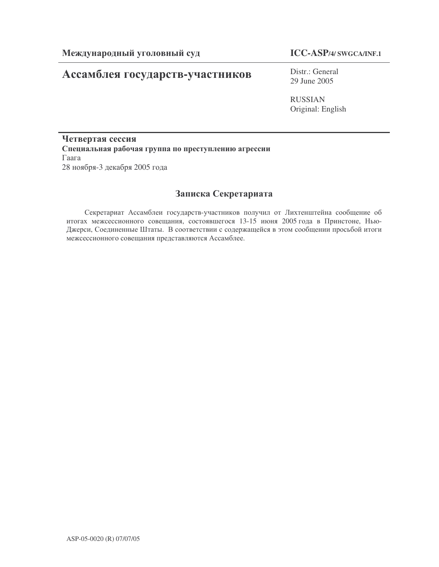# Ассамблея государств-участников

Distr.: General 29 June 2005

RUSSIAN Original: English

Четвертая сессия Специальная рабочая группа по преступлению агрессии  $\Gamma$ aara 28 ноября-3 декабря 2005 года

## Записка Секретариата

Секретариат Ассамблеи государств-участников получил от Лихтенштейна сообщение об итогах межсессионного совещания, состоявшегося 13-15 июня 2005 года в Принстоне, Нью-Джерси, Соединенные Штаты. В соответствии с содержащейся в этом сообщении просьбой итоги межсессионного совещания представляются Ассамблее.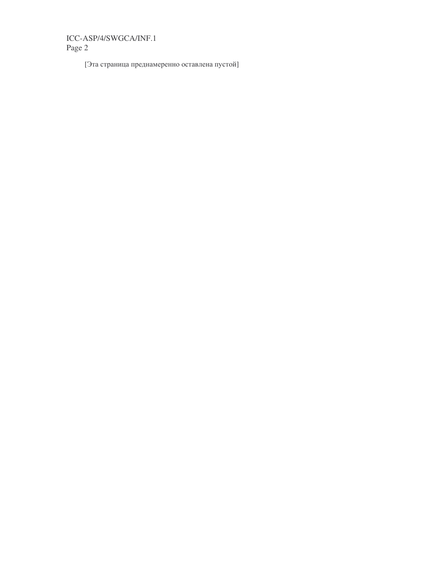[Эта страница преднамеренно оставлена пустой]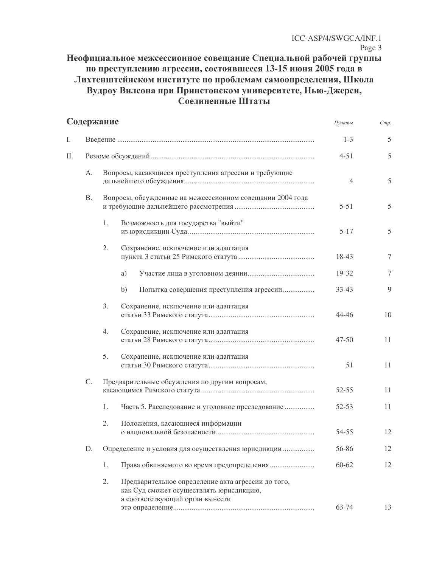# Неофициальное межсессионное совещание Специальной рабочей группы по преступлению агрессии, состоявшееся 13-15 июня 2005 года в Лихтенштейнском институте по проблемам самоопределения, Школа<br>Вудроу Вилсона при Принстонском университете, Нью-Джерси,<br>Соединенные Штаты

| Содержание |           |    | Пункты                                                                                                                           | Cmp.           |               |
|------------|-----------|----|----------------------------------------------------------------------------------------------------------------------------------|----------------|---------------|
| I.         |           |    |                                                                                                                                  |                | 5             |
| П.         |           |    |                                                                                                                                  | $4 - 51$       | $\mathfrak s$ |
|            | А.        |    | Вопросы, касающиеся преступления агрессии и требующие                                                                            | $\overline{4}$ | 5             |
|            | <b>B.</b> |    | Вопросы, обсужденные на межсессионном совещании 2004 года                                                                        | $5 - 51$       | $\mathfrak s$ |
|            |           | 1. | Возможность для государства "выйти"                                                                                              | $5 - 17$       | $\mathfrak s$ |
|            |           | 2. | Сохранение, исключение или адаптация                                                                                             | 18-43          | 7             |
|            |           |    | a)                                                                                                                               | 19-32          | 7             |
|            |           |    | b)<br>Попытка совершения преступления агрессии                                                                                   | $33 - 43$      | 9             |
|            |           | 3. | Сохранение, исключение или адаптация                                                                                             | $44 - 46$      | 10            |
|            |           | 4. | Сохранение, исключение или адаптация                                                                                             | $47 - 50$      | 11            |
|            |           | 5. | Сохранение, исключение или адаптация                                                                                             | 51             | 11            |
|            | C.        |    | Предварительные обсуждения по другим вопросам,                                                                                   | $52 - 55$      | 11            |
|            |           | 1. | Часть 5. Расследование и уголовное преследование                                                                                 | $52 - 53$      | 11            |
|            |           | 2. | Положения, касающиеся информации                                                                                                 | 54-55          | 12            |
|            | D.        |    | Определение и условия для осуществления юрисдикции                                                                               | 56-86          | 12            |
|            |           | 1. |                                                                                                                                  | $60 - 62$      | 12            |
|            |           | 2. | Предварительное определение акта агрессии до того,<br>как Суд сможет осуществлять юрисдикцию,<br>а соответствующий орган вынести | 63-74          | 13            |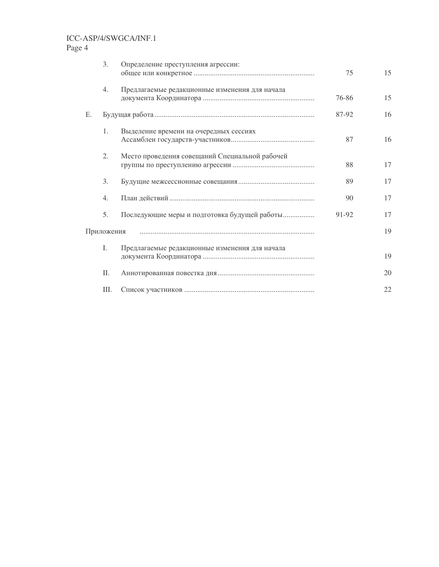# ICC-ASP/4/SWGCA/INF.1

Page 4

|            | 3.   | Определение преступления агрессии:             | 75    | 15 |
|------------|------|------------------------------------------------|-------|----|
|            | 4.   | Предлагаемые редакционные изменения для начала | 76-86 | 15 |
| E.         |      |                                                | 87-92 | 16 |
|            | 1.   | Выделение времени на очередных сессиях         | 87    | 16 |
|            | 2.   | Место проведения совещаний Специальной рабочей | 88    | 17 |
|            | 3.   |                                                | 89    | 17 |
|            | 4.   |                                                | 90    | 17 |
|            | 5.   | Последующие меры и подготовка будущей работы   | 91-92 | 17 |
| Приложения |      |                                                |       | 19 |
|            | L    | Предлагаемые редакционные изменения для начала |       | 19 |
|            | П.   |                                                |       | 20 |
|            | III. |                                                |       | 22 |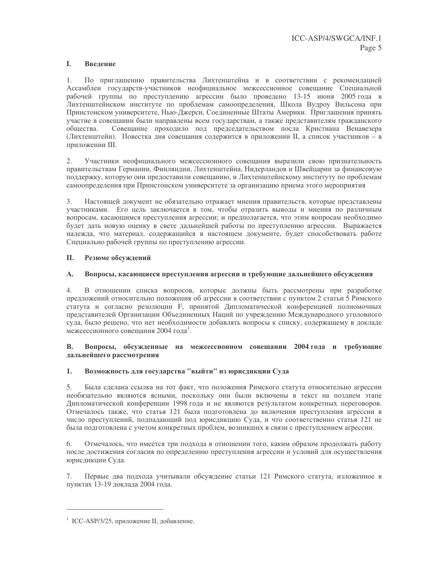#### I. Введение

1. По приглашению правительства Лихтенштейна и в соответствии с рекомендацией Ассамблеи государств-участников неофициальное межсессионное совещание Специальной рабочей группы по преступлению агрессии было проведено 13-15 июня 2005 года в Лихтенштейнском институте по проблемам самоопределения, Школа Вудроу Вильсона при Принстонском университете, Нью-Джерси, Соединенные Штаты Америки. Приглашения принять участие в совещании были направлены всем государствам, а также представителям гражданского обшества. Совещание проходило под председательством посла Кристиана Венавезера (Лихтенштейн). Повестка дня совещания содержится в приложении II, а список участников - в приложении III.

 $2.$ Участники неофициального межсессионного совещания выразили свою признательность правительствам Германии, Финляндии, Лихтенштейна, Нидерландов и Швейцарии за финансовую поддержку, которую они предоставили совещанию, и Лихтенштейнскому институту по проблемам самоопределения при Принстонском университете за организацию приема этого мероприятия

Настоящей документ не обязательно отражает мнения правительств, которые представлены 3. участниками. Его цель заключается в том, чтобы отразить выводы и мнения по различным вопросам, касающимся преступления агрессии; и предполагается, что этим вопросам необходимо будет дать новую оценку в свете дальнейшей работы по преступлению агрессии. Выражается надежда, что материал, содержащийся в настоящем документе, будет способствовать работе Специально рабочей группы по преступлению агрессии.

#### $\Pi$ . Резюме обсуждений

#### $\mathbf{A}$ . Вопросы, касающиеся преступления агрессии и требующие дальнейшего обсуждения

В отношении списка вопросов, которые должны быть рассмотрены при разработке  $4.$ предложений относительно положения об агрессии в соответствии с пунктом 2 статьи 5 Римского статута и согласно резолюции F, принятой Дипломатической конференцией полномочных представителей Организации Объединенных Наций по учреждению Международного уголовного суда, было решено, что нет необходимости добавлять вопросы к списку, содержащему в докладе межсессионного совещания 2004 года<sup>1</sup>.

#### Вопросы, обсужденные на межсессионном совещании 2004 года и требующие **B.** дальнейшего рассмотрения

#### 1. Возможность для государства "выйти" из юрисдикции Суда

Была сделана ссылка на тот факт, что положения Римского статута относительно агрессии  $5.$ необязательно являются ясными, поскольку они были включены в текст на позднем этапе Дипломатической конференции 1998 года и не являются результатом конкретных переговоров. Отмечалось также, что статья 121 была подготовлена до включения преступления агрессии в число преступлений, подпадающий под юрисдикцию Суда, и что соответственно статья 121 не была подготовлена с учетом конкретных проблем, возникших в связи с преступлением агрессии.

6. Отмечалось, что имеется три подхода в отношении того, каким образом продолжать работу после достижения согласия по определению преступления агрессии и условий для осуществления юрисдикции Суда.

Первые два подхода учитывали обсуждение статьи 121 Римского статута, изложенное в  $7.$ пунктах 13-19 доклада 2004 года.

<sup>&</sup>lt;sup>1</sup> ICC-ASP/3/25, приложение II, добавление.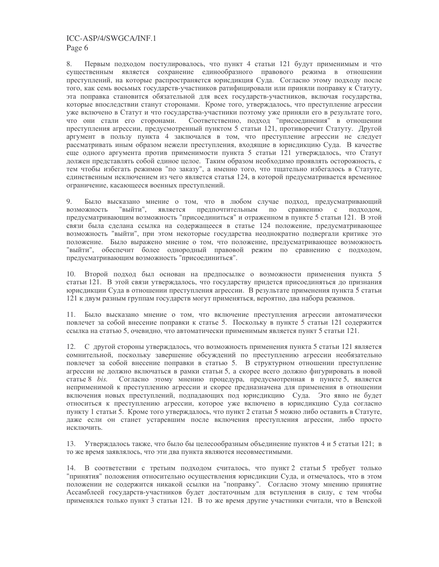8. Первым подходом постулировалось, что пункт 4 статьи 121 будут применимым и что существенным является сохранение единообразного правового режима в отношении преступлений, на которые распространяется юрисдикция Суда. Согласно этому подходу после того, как семь восьмых государств-участников ратифицировали или приняли поправку к Статуту, эта поправка становится обязательной для всех государств-участников, включая государства, которые впоследствии станут сторонами. Кроме того, утверждалось, что преступление агрессии уже включено в Статут и что государства-участники поэтому уже приняли его в результате того, Соответственно, подход "присоединения" в отношении что они стали его сторонами. преступления агрессии, предусмотренный пунктом 5 статьи 121, противоречит Статуту. Другой аргумент в пользу пункта 4 заключался в том, что преступление агрессии не следует рассматривать иным образом нежели преступления, входящие в юрисдикцию Суда. В качестве еще одного аргумента против применимости пункта 5 статьи 121 утверждалось, что Статут должен представлять собой единое целое. Таким образом необходимо проявлять осторожность, с тем чтобы избегать режимов "по заказу", а именно того, что тщательно избегалось в Статуте, единственным исключением из чего является статья 124, в которой предусматривается временное ограничение, касающееся военных преступлений.

9. Было высказано мнение о том, что в любом случае подход, предусматривающий возможность "выйти", является предпочтительным по сравнению  $\mathbf{c}$ подходом, предусматривающим возможность "присоединиться" и отраженном в пункте 5 статьи 121. В этой связи была сделана ссылка на содержащееся в статье 124 положение, предусматривающее возможность "выйти", при этом некоторые государства неоднократно подвергали критике это положение. Было выражено мнение о том, что положение, предусматривающее возможность "выйти", обеспечит более однородный правовой режим по сравнению с подходом, предусматривающим возможность "присоединиться".

10. Второй подход был основан на предпосылке о возможности применения пункта 5 статьи 121. В этой связи утверждалось, что государству придется присоединяться до признания юрисдикции Суда в отношении преступления агрессии. В результате применения пункта 5 статьи 121 к двум разным группам государств могут применяться, вероятно, два набора режимов.

11. Было высказано мнение о том, что включение преступления агрессии автоматически повлечет за собой внесение поправки к статье 5. Поскольку в пункте 5 статьи 121 содержится ссылка на статью 5, очевидно, что автоматически применимым является пункт 5 статьи 121.

12. С другой стороны утверждалось, что возможность применения пункта 5 статьи 121 является сомнительной, поскольку завершение обсуждений по преступлению агрессии необязательно повлечет за собой внесение поправки в статью 5. В структурном отношении преступление агрессии не должно включаться в рамки статьи 5, а скорее всего должно фигурировать в новой Согласно этому мнению процедура, предусмотренная в пункте 5, является статье  $8$  *bis.* неприменимой к преступлению агрессии и скорее предназначена для применения в отношении включения новых преступлений, подпадающих под юрисдикцию Суда. Это явно не будет относиться к преступлению агрессии, которое уже включено в юрисдикцию Суда согласно пункту 1 статьи 5. Кроме того утверждалось, что пункт 2 статьи 5 можно либо оставить в Статуте, даже если он станет устаревшим после включения преступления агрессии, либо просто исключить.

13. Утверждалось также, что было бы целесообразным объединение пунктов 4 и 5 статьи 121; в то же время заявлялось, что эти два пункта являются несовместимыми.

14. В соответствии с третьим подходом считалось, что пункт 2 статьи 5 требует только "принятия" положения относительно осуществления юрисдикции Суда, и отмечалось, что в этом положении не содержится никакой ссылки на "поправку". Согласно этому мнению принятие Ассамблеей государств-участников будет достаточным для вступления в силу, с тем чтобы применялся только пункт 3 статьи 121. В то же время другие участники считали, что в Венской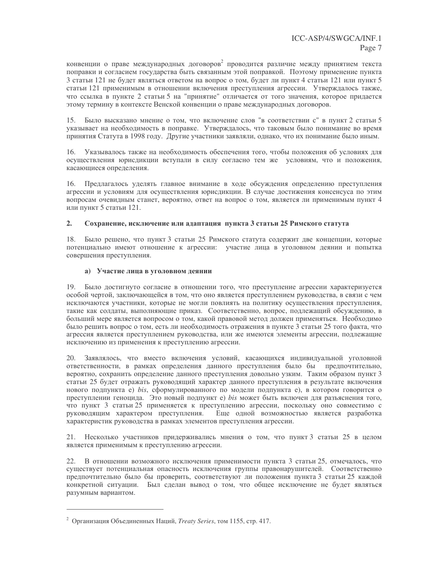конвенции о праве международных договоров<sup>2</sup> проводится различие между принятием текста поправки и согласием государства быть связанным этой поправкой. Поэтому применение пункта 3 статьи 121 не будет являться ответом на вопрос о том, будет ли пункт 4 статьи 121 или пункт 5 статьи 121 применимым в отношении включения преступления агрессии. Утверждалось также, что ссылка в пункте 2 статьи 5 на "принятие" отличается от того значения, которое прилается этому термину в контексте Венской конвенции о праве международных договоров.

15. Было высказано мнение о том, что включение слов "в соответствии с" в пункт 2 статьи 5 указывает на необходимость в поправке. Утверждалось, что таковым было понимание во время принятия Статута в 1998 году. Другие участники заявляли, однако, что их понимание было иным.

Указывалось также на необходимость обеспечения того, чтобы положения об условиях для 16. осуществления юрисдикции вступали в силу согласно тем же условиям, что и положения, касающиеся определения.

Предлагалось уделять главное внимание в ходе обсуждения определению преступления  $16<sup>1</sup>$ агрессии и условиям для осуществления юрисдикции. В случае достижения консенсуса по этим вопросам очевидным станет, вероятно, ответ на вопрос о том, является ли применимым пункт 4 или пункт 5 статьи 121.

#### $2.$ Сохранение, исключение или адаптация пункта 3 статьи 25 Римского статута

18. Было решено, что пункт 3 статьи 25 Римского статута содержит две концепции, которые потенциально имеют отношение к агрессии: участие лица в уголовном деянии и попытка совершения преступления.

### а) Участие лица в уголовном деянии

19. Было достигнуто согласие в отношении того, что преступление агрессии характеризуется особой чертой, заключающейся в том, что оно является преступлением руководства, в связи с чем исключаются участники, которые не могли повлиять на политику осуществления преступления, такие как солдаты, выполняющие приказ. Соответственно, вопрос, подлежащий обсуждению, в больший мере является вопросом о том, какой правовой метод должен применяться. Необходимо было решить вопрос о том, есть ли необходимость отражения в пункте 3 статьи 25 того факта, что агрессия является преступлением руководства, или же имеются элементы агрессии, подлежащие исключению из применения к преступлению агрессии.

Заявлялось, что вместо включения условий, касающихся индивидуальной уголовной 20. ответственности, в рамках определения данного преступления было бы предпочтительно, вероятно, сохранить определение данного преступления довольно узким. Таким образом пункт 3 статьи 25 будет отражать руководящий характер данного преступления в результате включения нового подпункта е) bis, сформулированного по модели подпункта е), в котором говорится о преступлении геноцида. Это новый подпункт е) bis может быть включен для разъяснения того, что пункт 3 статьи 25 применяется к преступлению агрессии, поскольку оно совместимо с руководящим характером преступления. Еще одной возможностью является разработка характеристик руководства в рамках элементов преступления агрессии.

21. Несколько участников придерживались мнения о том, что пункт 3 статьи 25 в целом является применимым к преступлению агрессии.

22. В отношении возможного исключения применимости пункта 3 статьи 25, отмечалось, что существует потенциальная опасность исключения группы правонарушителей. Соответственно предпочтительно было бы проверить, соответствуют ли положения пункта 3 статьи 25 каждой конкретной ситуации. Был сделан вывод о том, что общее исключение не будет являться разумным вариантом.

<sup>&</sup>lt;sup>2</sup> Организация Объединенных Наций, Treaty Series, том 1155, стр. 417.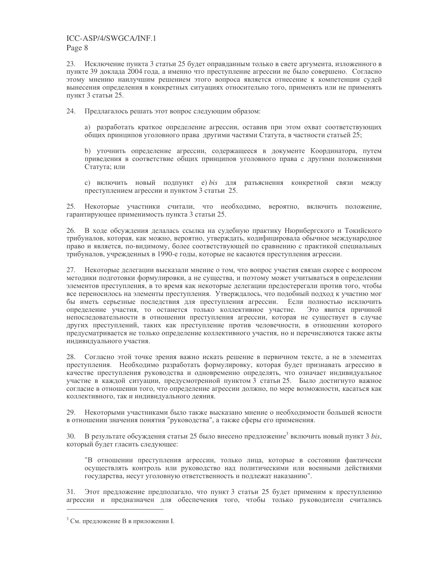23. Исключение пункта 3 статьи 25 будет оправданным только в свете аргумента, изложенного в пункте 39 доклада 2004 года, а именно что преступление агрессии не было совершено. Согласно этому мнению наилучшим решением этого вопроса является отнесение к компетенции судей вынесения определения в конкретных ситуациях относительно того, применять или не применять пункт 3 статьи 25.

24. Предлагалось решать этот вопрос следующим образом:

а) разработать краткое определение агрессии, оставив при этом охват соответствующих общих принципов уголовного права другими частями Статута, в частности статьей 25;

b) уточнить определение агрессии, содержащееся в документе Координатора, путем приведения в соответствие общих принципов уголовного права с другими положениями Статута; или

с) включить новый подпункт e) bis для разъяснения конкретной связи между преступлением агрессии и пунктом 3 статьи 25.

Некоторые участники считали, что необходимо, вероятно, включить положение,  $25$ гарантирующее применимость пункта 3 статьи 25.

26. В ходе обсуждения делалась ссылка на судебную практику Нюрнбергского и Токийского трибуналов, которая, как можно, вероятно, утверждать, кодифицировала обычное международное право и является, по-видимому, более соответствующей по сравнению с практикой специальных трибуналов, учрежденных в 1990-е годы, которые не касаются преступления агрессии.

27. Некоторые делегации высказали мнение о том, что вопрос участия связан скорее с вопросом методики подготовки формулировки, а не существа, и поэтому может учитываться в определении элементов преступления, в то время как некоторые делегации предостерегали против того, чтобы все переносилось на элементы преступления. Утверждалось, что подобный подход к участию мог бы иметь серьезные последствия для преступления агрессии. Если полностью исключить определение участия, то останется только коллективное участие. Это явится причиной непоследовательности в отношении преступления агрессии, которая не существует в случае других преступлений, таких как преступление против человечности, в отношении которого предусматривается не только определение коллективного участия, но и перечисляются также акты индивидуального участия.

28. Согласно этой точке зрения важно искать решение в первичном тексте, а не в элементах преступления. Необходимо разработать формулировку, которая будет признавать агрессию в качестве преступления руководства и одновременно определять, что означает индивидуальное участие в каждой ситуации, предусмотренной пунктом 3 статьи 25. Было достигнуто важное согласие в отношении того, что определение агрессии должно, по мере возможности, касаться как коллективного, так и индивидуального деяния.

29. Некоторыми участниками было также высказано мнение о необходимости большей ясности в отношении значения понятия "руководства", а также сферы его применения.

В результате обсуждения статьи 25 было внесено предложение<sup>3</sup> включить новый пункт 3 bis, 30. который будет гласить следующее:

"В отношении преступления агрессии, только лица, которые в состоянии фактически осуществлять контроль или руководство над политическими или военными действиями государства, несут уголовную ответственность и подлежат наказанию".

Этот предложение предполагало, что пункт 3 статьи 25 будет применим к преступлению  $31.$ агрессии и предназначен для обеспечения того, чтобы только руководители считались

<sup>&</sup>lt;sup>3</sup> См. предложение В в приложении I.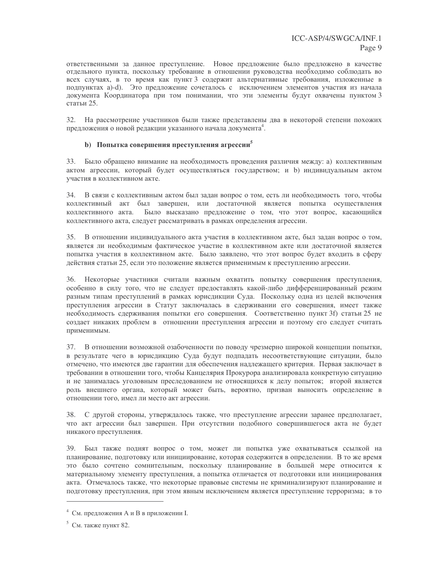ответственными за данное преступление. Новое предложение было предложено в качестве отдельного пункта, поскольку требование в отношении руководства необходимо соблюдать во всех случаях, в то время как пункт 3 содержит альтернативные требования, изложенные в подпунктах а)-d). Это предложение сочеталось с исключением элементов участия из начала документа Координатора при том понимании, что эти элементы будут охвачены пунктом 3 статьи 25.

32. На рассмотрение участников были также представлены два в некоторой степени похожих предложения о новой редакции указанного начала документа<sup>4</sup>.

### b) Попытка совершения преступления агрессии<sup>5</sup>

33. Было обращено внимание на необходимость проведения различия между: а) коллективным актом агрессии, который будет осуществляться государством; и b) индивидуальным актом участия в коллективном акте.

34. В связи с коллективным актом был задан вопрос о том, есть ли необходимость того, чтобы коллективный акт был завершен, или достаточной является попытка осуществления коллективного акта. Было высказано предложение о том, что этот вопрос, касающийся коллективного акта, следует рассматривать в рамках определения агрессии.

В отношении индивидуального акта участия в коллективном акте, был задан вопрос о том,  $35.$ является ли необходимым фактическое участие в коллективном акте или достаточной является попытка участия в коллективном акте. Было заявлено, что этот вопрос будет входить в сферу действия статьи 25, если это положение является применимым к преступлению агрессии.

36. Некоторые участники считали важным охватить попытку совершения преступления, особенно в силу того, что не следует предоставлять какой-либо дифференцированный режим разным типам преступлений в рамках юрисдикции Суда. Поскольку одна из целей включения преступления агрессии в Статут заключалась в сдерживании его совершения, имеет также необходимость сдерживания попытки его совершения. Соответственно пункт 3f) статьи 25 не создает никаких проблем в отношении преступления агрессии и поэтому его следует считать применимым.

37. В отношении возможной озабоченности по поводу чрезмерно широкой концепции попытки, в результате чего в юрисдикцию Суда будут подпадать несоответствующие ситуации, было отмечено, что имеются две гарантии для обеспечения надлежащего критерия. Первая заключает в требовании в отношении того, чтобы Канцелярия Прокурора анализировала конкретную ситуацию и не занималась уголовным преследованием не относящихся к делу попыток; второй является роль внешнего органа, который может быть, вероятно, призван выносить определение в отношении того, имел ли место акт агрессии.

38. С другой стороны, утверждалось также, что преступление агрессии заранее предполагает, что акт агрессии был завершен. При отсутствии подобного совершившегося акта не будет никакого преступления.

39. Был также поднят вопрос о том, может ли попытка уже охватываться ссылкой на планирование, подготовку или инициирование, которая содержится в определении. В то же время это было сочтено сомнительным, поскольку планирование в большей мере относится к материальному элементу преступления, а попытка отличается от подготовки или инициирования акта. Отмечалось также, что некоторые правовые системы не криминализируют планирование и подготовку преступления, при этом явным исключением является преступление терроризма; в то

<sup>&</sup>lt;sup>4</sup> См. предложения А и В в приложении I.

 $5$  См. также пункт 82.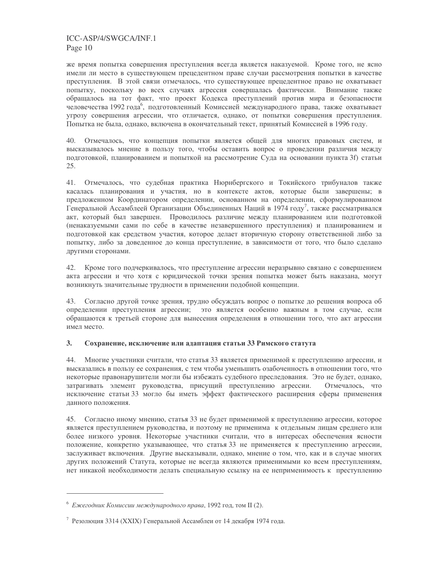же время попытка совершения преступления всегла является наказуемой. Кроме того, не ясно имели ли место в существующем прецедентном праве случаи рассмотрения попытки в качестве преступления. В этой связи отмечалось, что существующее прецедентное право не охватывает попытку, поскольку во всех случаях агрессия совершалась фактически. Внимание также обращалось на тот факт, что проект Кодекса преступлений против мира и безопасности человечества 1992 года<sup>6</sup>, подготовленный Комиссией международного права, также охватывает угрозу совершения агрессии, что отличается, однако, от попытки совершения преступления. Попытка не была, однако, включена в окончательный текст, принятый Комиссией в 1996 году.

40. Отмечалось, что концепция попытки является общей для многих правовых систем, и высказывалось мнение в пользу того, чтобы оставить вопрос о проведении различия между подготовкой, планированием и попыткой на рассмотрение Суда на основании пункта 3f) статьи 25.

Отмечалось, что судебная практика Нюрнбергского и Токийского трибуналов также 41. касалась планирования и участия, но в контексте актов, которые были завершены; в предложенном Координатором определении, основанном на определении, сформулированном Генеральной Ассамблеей Организации Объединенных Наций в 1974 году<sup>7</sup>, также рассматривался акт, который был завершен. Проводилось различие между планированием или подготовкой (ненаказуемыми сами по себе в качестве незавершенного преступления) и планированием и подготовкой как средством участия, которое делает вторичную сторону ответственной либо за попытку, либо за доведенное до конца преступление, в зависимости от того, что было сделано другими сторонами.

42. Кроме того подчеркивалось, что преступление агрессии неразрывно связано с совершением акта агрессии и что хотя с юридической точки зрения попытка может быть наказана, могут возникнуть значительные трудности в применении подобной концепции.

43. Согласно другой точке зрения, трудно обсуждать вопрос о попытке до решения вопроса об определении преступления агрессии; это является особенно важным в том случае, если обращаются к третьей стороне для вынесения определения в отношении того, что акт агрессии имел место.

#### $3.$ Сохранение, исключение или адаптация статьи 33 Римского статута

 $44.$ Многие участники считали, что статья 33 является применимой к преступлению агрессии, и высказались в пользу ее сохранения, с тем чтобы уменьшить озабоченность в отношении того, что некоторые правонарушители могли бы избежать судебного преследования. Это не будет, однако, затрагивать элемент руководства, присущий преступлению агрессии. Отмечалось, что исключение статьи 33 могло бы иметь эффект фактического расширения сферы применения ланного положения.

45. Согласно иному мнению, статья 33 не будет применимой к преступлению агрессии, которое является преступлением руководства, и поэтому не применима к отдельным лицам среднего или более низкого уровня. Некоторые участники считали, что в интересах обеспечения ясности положение, конкретно указывающее, что статья 33 не применяется к преступлению агрессии, заслуживает включения. Другие высказывали, однако, мнение о том, что, как и в случае многих других положений Статута, которые не всегда являются применимыми ко всем преступлениям, нет никакой необходимости делать специальную ссылку на ее неприменимость к преступлению

 $6$  Ежегодник Комиссии международного права, 1992 год. том II (2).

<sup>&</sup>lt;sup>7</sup> Резолюция 3314 (XXIX) Генеральной Ассамблеи от 14 декабря 1974 года.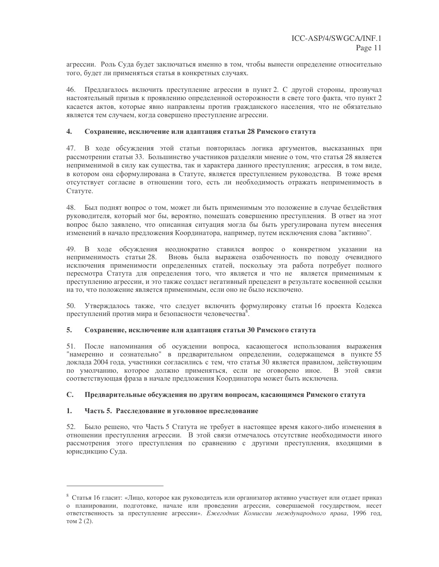агрессии. Роль Суда будет заключаться именно в том, чтобы вынести определение относительно того, будет ли применяться статья в конкретных случаях.

46. Предлагалось включить преступление агрессии в пункт 2. С другой стороны, прозвучал настоятельный призыв к проявлению определенной осторожности в свете того факта, что пункт 2 касается актов, которые явно направлены против гражданского населения, что не обязательно является тем случаем, когда совершено преступление агрессии.

#### $\mathbf{4}$ Сохранение, исключение или адаптация статьи 28 Римского статута

В ходе обсуждения этой статьи повторилась логика аргументов, высказанных при 47. рассмотрении статьи 33. Большинство участников разделяли мнение о том, что статья 28 является неприменимой в силу как существа, так и характера данного преступления; агрессия, в том виде, в котором она сформулирована в Статуте, является преступлением руководства. В тоже время отсутствует согласие в отношении того, есть ли необходимость отражать неприменимость в Статуте.

48. Был поднят вопрос о том, может ли быть применимым это положение в случае бездействия руководителя, который мог бы, вероятно, помешать совершению преступления. В ответ на этот вопрос было заявлено, что описанная ситуация могла бы быть урегулирована путем внесения изменений в начало предложения Координатора, например, путем исключения слова "активно".

49. В ходе обсуждения неоднократно ставился вопрос о конкретном указании на неприменимость статьи 28. Вновь была выражена озабоченность по поводу очевидного исключения применимости определенных статей, поскольку эта работа потребует полного пересмотра Статута для определения того, что является и что не является применимым к преступлению агрессии, и это также создаст негативный прецедент в результате косвенной ссылки на то, что положение является применимым, если оно не было исключено.

50. Утверждалось также, что следует включить формулировку статьи 16 проекта Кодекса преступлений против мира и безопасности человечества<sup>8</sup>.

#### 5. Сохранение, исключение или адаптация статьи 30 Римского статута

51. После напоминания об осуждении вопроса, касающегося использования выражения "намеренно и сознательно" в предварительном определении, содержащемся в пункте 55 доклада 2004 года, участники согласились с тем, что статья 30 является правилом, действующим по умолчанию, которое должно применяться, если не оговорено иное. В этой связи соответствующая фраза в начале предложения Координатора может быть исключена.

#### Предварительные обсуждения по другим вопросам, касающимся Римского статута  $\mathbf{C}$ .

#### 1. Часть 5. Расследование и уголовное преследование

52. Было решено, что Часть 5 Статута не требует в настоящее время какого-либо изменения в отношении преступления агрессии. В этой связи отмечалось отсутствие необходимости иного рассмотрения этого преступления по сравнению с другими преступления, входящими в юрисдикцию Суда.

<sup>&</sup>lt;sup>8</sup> Статья 16 гласит: «Лицо, которое как руководитель или организатор активно участвует или отдает приказ о планировании, подготовке, начале или проведении агрессии, совершаемой государством, несет ответственность за преступление агрессии». Ежегодник Комиссии международного права, 1996 год, том 2 (2).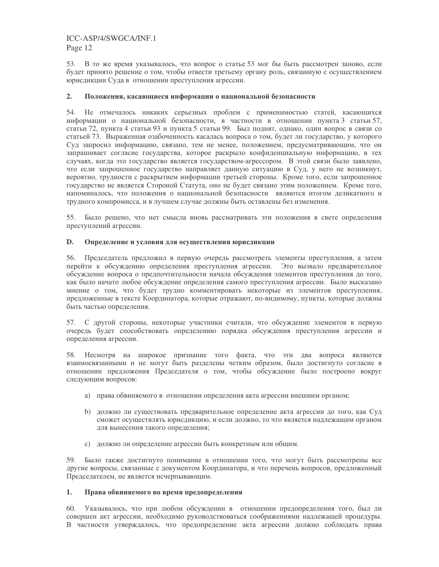53. В то же время указывалось, что вопрос о статье 53 мог бы быть рассмотрен заново, если будет принято решение о том, чтобы отвести третьему органу роль, связанную с осуществлением юрисдикции Суда в отношении преступления агрессии.

#### $2.$ Положения, касающиеся информации о национальной безопасности

54. Не отмечалось никаких серьезных проблем с применимостью статей, касающихся информации о национальной безопасности, в частности в отношении пункта 3 статьи 57, статьи 72, пункта 4 статьи 93 и пункта 5 статьи 99. Был поднят, однако, один вопрос в связи со статьей 73. Выраженная озабоченность касалась вопроса о том, будет ли государство, у которого Суд запросил информацию, связано, тем не менее, положением, предусматривающим, что он запрашивает согласие государства, которое раскрыло конфиденциальную информацию, в тех случаях, когда это государство является государством-агрессором. В этой связи было заявлено, что если запрошенное государство направляет данную ситуацию в Суд, у него не возникнут, вероятно, трудности с раскрытием информации третьей стороны. Кроме того, если запрошенное государство не является Стороной Статута, оно не будет связано этим положением. Кроме того, напоминалось, что положения о национальной безопасности являются итогом деликатного и трудного компромисса, и в лучшем случае должны быть оставлены без изменения.

55. Было решено, что нет смысла вновь рассматривать эти положения в свете определения преступлений агрессии.

#### D. Определение и условия для осуществления юрисдикции

Председатель предложил в первую очередь рассмотреть элементы преступления, а затем 56. перейти к обсуждению определения преступления агрессии. Это вызвало предварительное обсуждение вопроса о предпочтительности начала обсуждения элементов преступления до того, как было начато любое обсуждение определения самого преступления агрессии. Было высказано мнение о том, что будет трудно комментировать некоторые из элементов преступления, предложенные в тексте Координатора, которые отражают, по-видимому, пункты, которые должны быть частью определения.

57. С другой стороны, некоторые участники считали, что обсуждение элементов в первую очередь будет способствовать определению порядка обсуждения преступления агрессии и определения агрессии.

58. Несмотря на широкое признание того факта, что эти два вопроса являются взаимосвязанными и не могут быть разделены четким образом, было достигнуто согласие в отношении предложения Председателя о том, чтобы обсуждение было построено вокруг следующим вопросов:

- а) права обвиняемого в отношении определения акта агрессии внешним органом;
- b) должно ли существовать предварительное определение акта агрессии до того, как Суд сможет осуществлять юрисдикцию, и если должно, то что является надлежащим органом для вынесения такого определения;
- с) должно ли определение агрессии быть конкретным или общим.

59. Было также достигнуто понимание в отношении того, что могут быть рассмотрены все другие вопросы, связанные с документом Координатора, и что перечень вопросов, предложенный Председателем, не является исчерпывающим.

#### $1.$ Права обвиняемого во время предопределения

Указывалось, что при любом обсуждении в отношении предопределения того, был ли 60. совершен акт агрессии, необходимо руководствоваться соображениями надлежащей процедуры. В частности утверждалось, что предопределение акта агрессии должно соблюдать права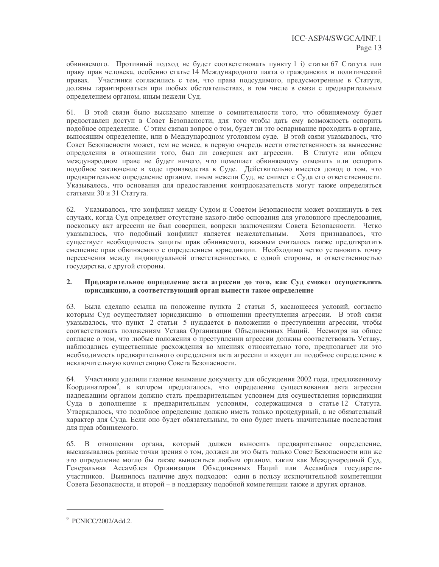обвиняемого. Противный подход не будет соответствовать пункту 1 і) статьи 67 Статута или праву прав человека, особенно статье 14 Международного пакта о гражданских и политический правах. Участники согласились с тем, что права подсудимого, предусмотренные в Статуте, должны гарантироваться при любых обстоятельствах, в том числе в связи с предварительным определением органом, иным нежели Суд.

61. В этой связи было высказано мнение о сомнительности того, что обвиняемому будет предоставлен доступ в Совет Безопасности, для того чтобы дать ему возможность оспорить подобное определение. С этим связан вопрос о том, будет ли это оспаривание проходить в органе, выносящим определение, или в Международном уголовном суде. В этой связи указывалось, что Совет Безопасности может, тем не менее, в первую очередь нести ответственность за вынесение определения в отношении того, был ли совершен акт агрессии. В Статуте или общем международном праве не будет ничего, что помешает обвиняемому отменить или оспорить подобное заключение в ходе производства в Суде. Действительно имеется довод о том, что предварительное определение органом, иным нежели Суд, не снимет с Суда его ответственности. Указывалось, что основания для предоставления контрдоказательств могут также определяться статьями 30 и 31 Статута.

Указывалось, что конфликт между Судом и Советом Безопасности может возникнуть в тех 62. случаях, когда Суд определяет отсутствие какого-либо основания для уголовного преследования, поскольку акт агрессии не был совершен, вопреки заключениям Совета Безопасности. Четко указывалось, что подобный конфликт является нежелательным. Хотя признавалось, что существует необходимость защиты прав обвиняемого, важным считалось также предотвратить смешение прав обвиняемого с определением юрисдикции. Необходимо четко установить точку пересечения между индивидуальной ответственностью, с одной стороны, и ответственностью государства, с другой стороны.

#### $2.$ Предварительное определение акта агрессии до того, как Суд сможет осуществлять юрисдикцию, а соответствующий орган вынести такое определение

63. Была сделано ссылка на положение пункта 2 статьи 5, касающееся условий, согласно которым Суд осуществляет юрисдикцию в отношении преступления агрессии. В этой связи указывалось, что пункт 2 статьи 5 нуждается в положении о преступлении агрессии, чтобы соответствовать положениям Устава Организации Объединенных Наций. Несмотря на общее согласие о том, что любые положения о преступлении агрессии должны соответствовать Уставу, наблюдались существенные расхождения во мнениях относительно того, предполагает ли это необходимость предварительного определения акта агрессии и входит ли подобное определение в исключительную компетенцию Совета Безопасности.

64. Участники уделили главное внимание документу для обсуждения 2002 года, предложенному Координатором<sup>9</sup>, в котором предлагалось, что определение существования акта агрессии надлежащим органом должно стать предварительным условием для осуществления юрисдикции Суда в дополнение к предварительным условиям, содержащимся в статье 12 Статута. Утверждалось, что подобное определение должно иметь только процедурный, а не обязательный характер для Суда. Если оно будет обязательным, то оно будет иметь значительные последствия для прав обвиняемого.

65. В отношении органа, который должен выносить предварительное определение, высказывались разные точки зрения о том, должен ли это быть только Совет Безопасности или же это определение могло бы также выноситься любым органом, таким как Международный Суд, Генеральная Ассамблея Организации Объединенных Наций или Ассамблея государствучастников. Выявилось наличие двух подходов: один в пользу исключительной компетенции Совета Безопасности, и второй – в поддержку подобной компетенции также и других органов.

<sup>&</sup>lt;sup>9</sup> PCNICC/2002/Add.2.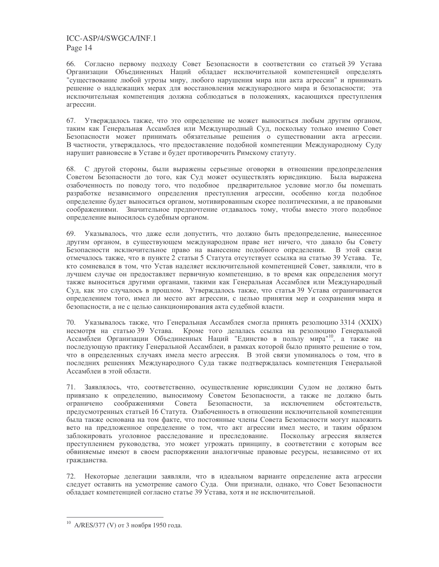66. Согласно первому подходу Совет Безопасности в соответствии со статьей 39 Устава Организации Объединенных Наций обладает исключительной компетенцией определять "существование любой угрозы миру, любого нарушения мира или акта агрессии" и принимать решение о надлежащих мерах для восстановления международного мира и безопасности; эта исключительная компетенция должна соблюдаться в положениях, касающихся преступления агрессии.

67. Утверждалось также, что это определение не может выноситься любым другим органом, таким как Генеральная Ассамблея или Международный Суд, поскольку только именно Совет Безопасности может принимать обязательные решения о существовании акта агрессии. В частности, утверждалось, что предоставление подобной компетенции Международному Суду нарушит равновесие в Уставе и будет противоречить Римскому статуту.

68. С другой стороны, были выражены серьезные оговорки в отношении предопределения Советом Безопасности до того, как Суд может осуществлять юрисдикцию. Была выражена озабоченность по поводу того, что подобное предварительное условие могло бы помешать разработке независимого определения преступления агрессии, особенно когда подобное определение будет выноситься органом, мотивированным скорее политическими, а не правовыми соображениями. Значительное предпочтение отдавалось тому, чтобы вместо этого подобное определение выносилось судебным органом.

69. Указывалось, что даже если допустить, что должно быть предопределение, вынесенное другим органом, в существующем международном праве нет ничего, что давало бы Совету Безопасности исключительное право на вынесение подобного определения. В этой связи отмечалось также, что в пункте 2 статьи 5 Статута отсутствует ссылка на статью 39 Устава. Те, кто сомневался в том, что Устав наделяет исключительной компетенцией Совет, заявляли, что в лучшем случае он предоставляет первичную компетенцию, в то время как определения могут также выноситься другими органами, такими как Генеральная Ассамблея или Международный Суд, как это случалось в прошлом. Утверждалось также, что статья 39 Устава ограничивается определением того, имел ли место акт агрессии, с целью принятия мер и сохранения мира и безопасности, а не с целью санкционирования акта судебной власти.

70. Указывалось также, что Генеральная Ассамблея смогла принять резолюцию 3314 (XXIX) несмотря на статью 39 Устава. Кроме того делалась ссылка на резолюцию Генеральной Ассамблеи Организации Объединенных Наций "Единство в пользу мира"<sup>10</sup>, а также на последующую практику Генеральной Ассамблеи, в рамках которой было принято решение о том, что в определенных случаях имела место агрессия. В этой связи упоминалось о том, что в последних решениях Международного Суда также подтверждалась компетенция Генеральной Ассамблеи в этой области.

71. Заявлялось, что, соответственно, осуществление юрисдикции Судом не должно быть привязано к определению, выносимому Советом Безопасности, а также не должно быть соображениями Совета Безопасности, за исключением обстоятельств, ограничено предусмотренных статьей 16 Статута. Озабоченность в отношении исключительной компетенции была также основана на том факте, что постоянные члены Совета Безопасности могут наложить вето на предложенное определение о том, что акт агрессии имел место, и таким образом заблокировать уголовное расследование и преследование. Поскольку агрессия является преступлением руководства, это может угрожать принципу, в соответствии с которым все обвиняемые имеют в своем распоряжении аналогичные правовые ресурсы, независимо от их гражданства.

72. Некоторые делегации заявляли, что в идеальном варианте определение акта агрессии следует оставить на усмотрение самого Суда. Они признали, однако, что Совет Безопасности обладает компетенцией согласно статье 39 Устава, хотя и не исключительной.

<sup>&</sup>lt;sup>10</sup> A/RES/377 (V) от 3 ноября 1950 года.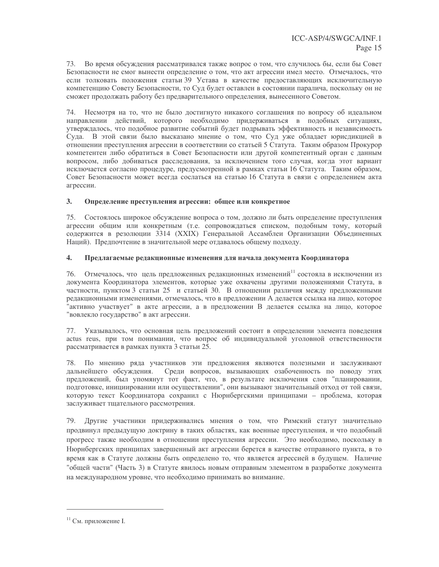73. Во время обсуждения рассматривался также вопрос о том, что случилось бы, если бы Совет Безопасности не смог вынести определение о том, что акт агрессии имел место. Отмечалось, что если толковать положения статьи 39 Устава в качестве предоставляющих исключительную компетенцию Совету Безопасности, то Суд будет оставлен в состоянии паралича, поскольку он не сможет продолжать работу без предварительного определения, вынесенного Советом.

74. Несмотря на то, что не было достигнуто никакого соглашения по вопросу об идеальном направлении действий, которого необходимо придерживаться в подобных ситуациях, утверждалось, что подобное развитие событий будет подрывать эффективность и независимость Суда. В этой связи было высказано мнение о том, что Суд уже обладает юрисдикцией в отношении преступления агрессии в соответствии со статьей 5 Статута. Таким образом Прокурор компетентен либо обратиться в Совет Безопасности или другой компетентный орган с данным вопросом, либо добиваться расследования, за исключением того случая, когда этот вариант исключается согласно процедуре, предусмотренной в рамках статьи 16 Статута. Таким образом, Совет Безопасности может всегда сослаться на статью 16 Статута в связи с определением акта агрессии.

#### $3.$ Определение преступления агрессии: общее или конкретное

75. Состоялось широкое обсуждение вопроса о том, должно ли быть определение преступления агрессии общим или конкретным (т.е. сопровождаться списком, подобным тому, который содержится в резолюции 3314 (XXIX) Генеральной Ассамблеи Организации Объединенных Наций). Предпочтение в значительной мере отдавалось общему подходу.

#### $\overline{4}$ . Предлагаемые редакционные изменения для начала документа Координатора

Отмечалось, что цель предложенных редакционных изменений<sup>11</sup> состояла в исключении из документа Координатора элементов, которые уже охвачены другими положениями Статута, в частности, пунктом 3 статьи 25 и статьей 30. В отношении различия между предложенными редакционными изменениями, отмечалось, что в предложении А делается ссылка на лицо, которое "активно участвует" в акте агрессии, а в предложении В делается ссылка на лицо, которое "вовлекло государство" в акт агрессии.

77. Указывалось, что основная цель предложений состоит в определении элемента поведения actus reus, при том понимании, что вопрос об индивидуальной уголовной ответственности рассматривается в рамках пункта 3 статьи 25.

78. По мнению ряда участников эти предложения являются полезными и заслуживают дальнейшего обсуждения. Среди вопросов, вызывающих озабоченность по поводу этих предложений, был упомянут тот факт, что, в результате исключения слов "планировании, подготовке, инициировании или осуществлении", они вызывают значительный отход от той связи. которую текст Координатора сохранил с Нюрнбергскими принципами - проблема, которая заслуживает тщательного рассмотрения.

Другие участники придерживались мнения о том, что Римский статут значительно 79. продвинул предыдущую доктрину в таких областях, как военные преступления, и что подобный прогресс также необходим в отношении преступления агрессии. Это необходимо, поскольку в Нюрнбергских принципах завершенный акт агрессии берется в качестве отправного пункта, в то время как в Статуте должны быть определено то, что является агрессией в будущем. Наличие "общей части" (Часть 3) в Статуте явилось новым отправным элементом в разработке документа на международном уровне, что необходимо принимать во внимание.

<sup>&</sup>lt;sup>11</sup> См. приложение I.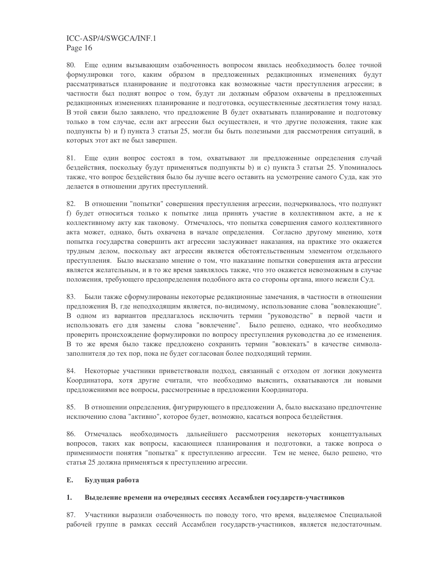80. Еще одним вызывающим озабоченность вопросом явилась необходимость более точной формулировки того, каким образом в предложенных редакционных изменениях будут рассматриваться планирование и подготовка как возможные части преступления агрессии; в частности был поднят вопрос о том, будут ли должным образом охвачены в предложенных редакционных изменениях планирование и подготовка, осуществленные десятилетия тому назад. В этой связи было заявлено, что предложение В будет охватывать планирование и подготовку только в том случае, если акт агрессии был осуществлен, и что другие положения, такие как подпункты b) и f) пункта 3 статьи 25, могли бы быть полезными для рассмотрения ситуаций, в которых этот акт не был завершен.

81. Еще один вопрос состоял в том, охватывают ли предложенные определения случай бездействия, поскольку будут применяться подпункты b) и c) пункта 3 статьи 25. Упоминалось также, что вопрос бездействия было бы лучше всего оставить на усмотрение самого Суда, как это делается в отношении других преступлений.

82. В отношении "попытки" совершения преступления агрессии, подчеркивалось, что подпункт f) будет относиться только к попытке лица принять участие в коллективном акте, а не к коллективному акту как таковому. Отмечалось, что попытка совершения самого коллективного акта может, однако, быть охвачена в начале определения. Согласно другому мнению, хотя попытка государства совершить акт агрессии заслуживает наказания, на практике это окажется трудным делом, поскольку акт агрессии является обстоятельственным элементом отдельного преступления. Было высказано мнение о том, что наказание попытки совершения акта агрессии является желательным, и в то же время заявлялось также, что это окажется невозможным в случае положения, требующего предопределения подобного акта со стороны органа, иного нежели Суд.

Были также сформулированы некоторые редакционные замечания, в частности в отношении 83. предложения В, где неподходящим является, по-видимому, использование слова "вовлекающие". В одном из вариантов предлагалось исключить термин "руководство" в первой части и использовать его для замены слова "вовлечение". Было решено, однако, что необходимо проверить происхождение формулировки по вопросу преступления руководства до ее изменения. В то же время было также предложено сохранить термин "вовлекать" в качестве символазаполнителя до тех пор, пока не будет согласован более подходящий термин.

Некоторые участники приветствовали подход, связанный с отходом от логики документа 84. Координатора, хотя другие считали, что необходимо выяснить, охватываются ли новыми предложениями все вопросы, рассмотренные в предложении Координатора.

85. В отношении определения, фигурирующего в предложении А, было высказано предпочтение исключению слова "активно", которое будет, возможно, касаться вопроса бездействия.

86. Отмечалась необходимость дальнейшего рассмотрения некоторых концептуальных вопросов, таких как вопросы, касающиеся планирования и подготовки, а также вопроса о применимости понятия "попытка" к преступлению агрессии. Тем не менее, было решено, что статья 25 должна применяться к преступлению агрессии.

#### $E_{\bullet}$ Будущая работа

#### $1.$ Выделение времени на очередных сессиях Ассамблеи государств-участников

87. Участники выразили озабоченность по поводу того, что время, выделяемое Специальной рабочей группе в рамках сессий Ассамблеи государств-участников, является недостаточным.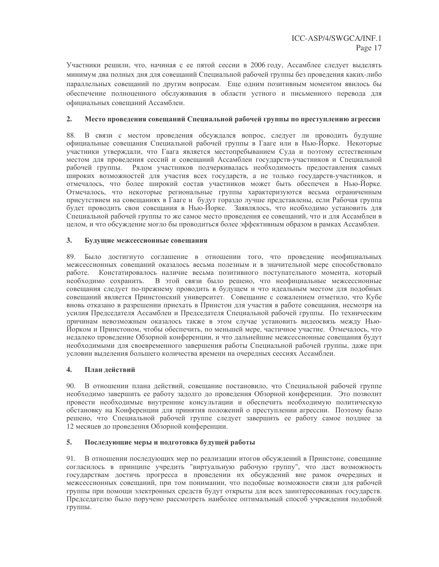Участники решили, что, начиная с ее пятой сессии в 2006 году, Ассамблее следует выделять минимум два полных дня для совещаний Специальной рабочей группы без проведения каких-либо параллельных совещаний по другим вопросам. Еще одним позитивным моментом явилось бы обеспечение полноценного обслуживания в области устного и письменного перевода для официальных совещаний Ассамблеи.

#### $2.$ Место проведения совещаний Специальной рабочей группы по преступлению агрессии

В связи с местом проведения обсуждался вопрос, следует ли проводить будущие 88. официальные совещания Специальной рабочей группы в Гааге или в Нью-Йорке. Некоторые участники утверждали, что Гаага является местопребыванием Суда и поэтому естественным местом для проведения сессий и совещаний Ассамблеи государств-участников и Специальной рабочей группы. Рядом участников подчеркивалась необходимость предоставления самых широких возможностей для участия всех государств, а не только государств-участников, и отмечалось, что более широкий состав участников может быть обеспечен в Нью-Йорке. Отмечалось, что некоторые региональные группы характеризуются весьма ограниченным присутствием на совещаниях в Гааге и будут гораздо лучше представлены, если Рабочая группа будет проводить свои совещания в Нью-Йорке. Заявлялось, что необходимо установить для Специальной рабочей группы то же самое место проведения ее совещаний, что и для Ассамблеи в целом, и что обсуждение могло бы проводиться более эффективным образом в рамках Ассамблеи.

#### $3.$ Будущие межсессионные совещания

89. Было достигнуто соглашение в отношении того, что проведение неофициальных межсессионных совещаний оказалось весьма полезным и в значительной мере способствовало Констатировалось наличие весьма позитивного поступательного момента, который работе. необходимо сохранить. В этой связи было решено, что неофициальные межсессионные совещания следует по-прежнему проводить в будущем и что идеальным местом для подобных совещаний является Принстонский университет. Совещание с сожалением отметило, что Кубе вновь отказано в разрешении приехать в Принстон для участия в работе совещания, несмотря на усилия Председателя Ассамблеи и Председателя Специальной рабочей группы. По техническим причинам невозможным оказалось также в этом случае установить видеосвязь между Нью-Йорком и Принстоном, чтобы обеспечить, по меньшей мере, частичное участие. Отмечалось, что недалеко проведение Обзорной конференции, и что дальнейшие межсессионные совещания будут необходимыми для своевременного завершения работы Специальной рабочей группы, даже при условии выделения большего количества времени на очередных сессиях Ассамблеи.

#### $\overline{4}$ . План лействий

 $90.$ В отношении плана действий, совещание постановило, что Специальной рабочей группе необходимо завершить ее работу задолго до проведения Обзорной конференции. Это позволит провести необходимые внутренние консультации и обеспечить необходимую политическую обстановку на Конференции для принятия положений о преступлении агрессии. Поэтому было решено, что Специальной рабочей группе следует завершить ее работу самое позднее за 12 месяцев до проведения Обзорной конференции.

#### 5. Последующие меры и подготовка будущей работы

91. В отношении последующих мер по реализации итогов обсуждений в Принстоне, совещание согласилось в принципе учредить "виртуальную рабочую группу", что даст возможность государствам достичь прогресса в проведении их обсуждений вне рамок очередных и межсессионных совещаний, при том понимании, что подобные возможности связи для рабочей группы при помощи электронных средств будут открыты для всех заинтересованных государств. Председателю было поручено рассмотреть наиболее оптимальный способ учреждения подобной группы.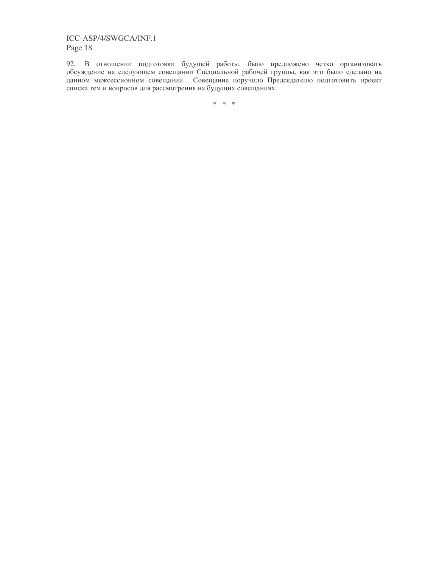92. В отношении подготовки будущей работы, было предложено четко организовать обсуждение на следующем совещании Специальной рабочей группы, как это было сделано на данном межсессионном совещании. Совещание поручило Председателю подготовить проект списка тем и вопросов для рассмотрения на будущих совещаниях.

 $*$   $*$   $*$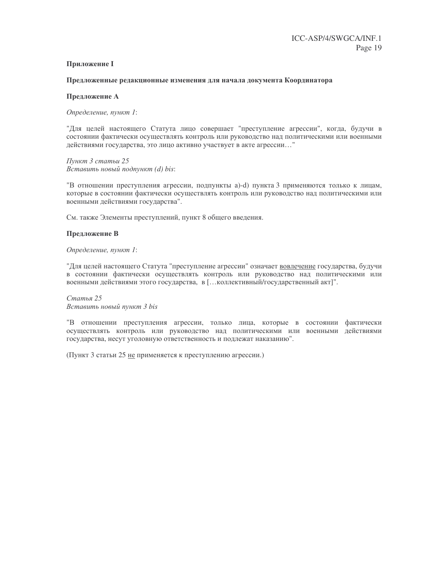### **Приложение I**

### Предложенные редакционные изменения для начала документа Координатора

### Предложение А

Определение, пункт 1:

"Для целей настоящего Статута лицо совершает "преступление агрессии", когда, будучи в состоянии фактически осуществлять контроль или руководство над политическими или военными действиями государства, это лицо активно участвует в акте агрессии..."

Пункт 3 статьи 25 Вставить новый подпункт (d) bis:

"В отношении преступления агрессии, подпункты a)-d) пункта 3 применяются только к лицам, которые в состоянии фактически осуществлять контроль или руководство над политическими или военными действиями государства".

См. также Элементы преступлений, пункт 8 общего введения.

### Предложение В

Определение, пункт 1:

"Для целей настоящего Статута "преступление агрессии" означает вовлечение государства, будучи в состоянии фактически осуществлять контроль или руководство над политическими или военными действиями этого государства, в [... коллективный/государственный акт]".

Статья 25 Вставить новый пункт 3 bis

"В отношении преступления агрессии, только лица, которые в состоянии фактически осуществлять контроль или руководство над политическими или военными действиями государства, несут уголовную ответственность и подлежат наказанию".

(Пункт 3 статьи 25 не применяется к преступлению агрессии.)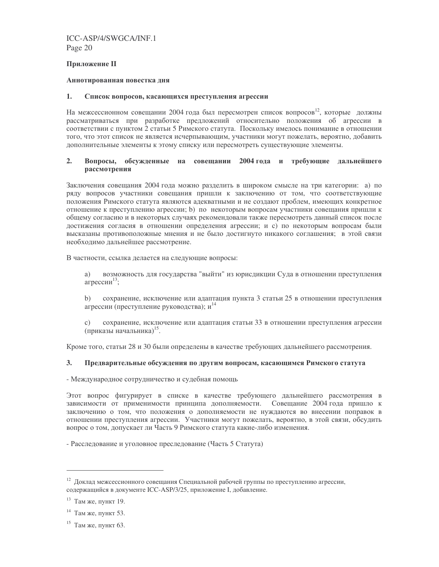### **Приложение II**

### Аннотированная повестка дня

#### 1. Список вопросов, касающихся преступления агрессии

На межсессионном совещании 2004 года был пересмотрен список вопросов<sup>12</sup>, которые должны рассматриваться при разработке предложений относительно положения об агрессии в соответствии с пунктом 2 статьи 5 Римского статута. Поскольку имелось понимание в отношении того, что этот список не является исчерпывающим, участники могут пожелать, вероятно, добавить дополнительные элементы к этому списку или пересмотреть существующие элементы.

#### $2.$ Вопросы, обсужденные на совещании 2004 года и требующие дальнейшего рассмотрения

Заключения совещания 2004 года можно разделить в широком смысле на три категории: а) по ряду вопросов участники совещания пришли к заключению от том, что соответствующие положения Римского статута являются адекватными и не создают проблем, имеющих конкретное отношение к преступлению агрессии; b) по некоторым вопросам участники совещания пришли к общему согласию и в некоторых случаях рекомендовали также пересмотреть данный список после достижения согласия в отношении определения агрессии; и с) по некоторым вопросам были высказаны противоположные мнения и не было достигнуто никакого соглашения; в этой связи необходимо дальнейшее рассмотрение.

В частности, ссылка делается на следующие вопросы:

возможность для государства "выйти" из юрисдикции Суда в отношении преступления a) агрессии<sup>13</sup>:

сохранение, исключение или адаптация пункта 3 статьи 25 в отношении преступления  $b)$ агрессии (преступление руководства);  $u^{14}$ 

сохранение, исключение или адаптация статьи 33 в отношении преступления агрессии  $\mathbf{c}$ ) (приказы начальника)<sup>15</sup>.

Кроме того, статьи 28 и 30 были определены в качестве требующих дальнейшего рассмотрения.

#### $3.$ Предварительные обсуждения по другим вопросам, касающимся Римского статута

- Международное сотрудничество и судебная помощь

Этот вопрос фигурирует в списке в качестве требующего дальнейшего рассмотрения в зависимости от применимости принципа дополняемости. Совещание 2004 года пришло к заключению о том, что положения о дополняемости не нуждаются во внесении поправок в отношении преступления агрессии. Участники могут пожелать, вероятно, в этой связи, обсудить вопрос о том, допускает ли Часть 9 Римского статута какие-либо изменения.

- Расследование и уголовное преследование (Часть 5 Статута)

<sup>&</sup>lt;sup>12</sup> Локлал межсессионного совешания Специальной рабочей группы по преступлению агрессии. содержащийся в документе ICC-ASP/3/25, приложение I, добавление.

 $13$  Там же, пункт 19.

 $14$  Там же, пункт 53.

<sup>&</sup>lt;sup>15</sup> Там же, пункт 63.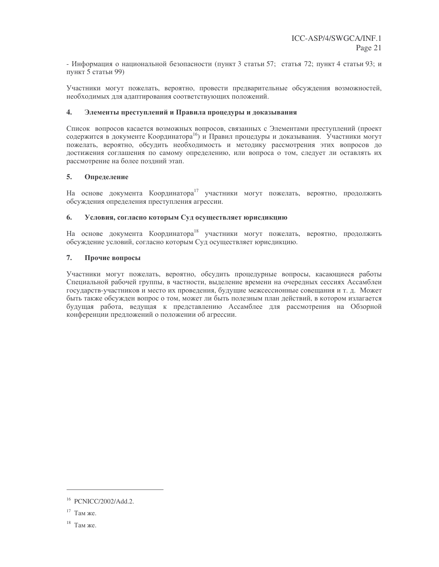- Информация о национальной безопасности (пункт 3 статьи 57; статья 72; пункт 4 статьи 93; и пункт 5 статьи 99)

Участники могут пожелать, вероятно, провести предварительные обсуждения возможностей, необходимых для адаптирования соответствующих положений.

#### $\overline{4}$ . Элементы преступлений и Правила процедуры и доказывания

Список вопросов касается возможных вопросов, связанных с Элементами преступлений (проект содержится в документе Координатора<sup>16</sup>) и Правил процедуры и доказывания. Участники могут пожелать, вероятно, обсудить необходимость и методику рассмотрения этих вопросов до достижения соглашения по самому определению, или вопроса о том, следует ли оставлять их рассмотрение на более поздний этап.

#### $5<sub>1</sub>$ Определение

На основе документа Координатора<sup>17</sup> участники могут пожелать, вероятно, продолжить обсуждения определения преступления агрессии.

#### 6. Условия, согласно которым Суд осуществляет юрисдикцию

На основе документа Координатора<sup>18</sup> участники могут пожелать, вероятно, продолжить обсуждение условий, согласно которым Суд осуществляет юрисдикцию.

#### $7.$ Прочие вопросы

Участники могут пожелать, вероятно, обсудить процедурные вопросы, касающиеся работы Специальной рабочей группы, в частности, выделение времени на очередных сессиях Ассамблеи государств-участников и место их проведения, будущие межсессионные совещания и т. д. Может быть также обсужден вопрос о том, может ли быть полезным план действий, в котором излагается будущая работа, ведущая к представлению Ассамблее для рассмотрения на Обзорной конференции предложений о положении об агрессии.

<sup>&</sup>lt;sup>16</sup> PCNICC/2002/Add.2.

 $17$  Там же.

<sup>&</sup>lt;sup>18</sup> Там же.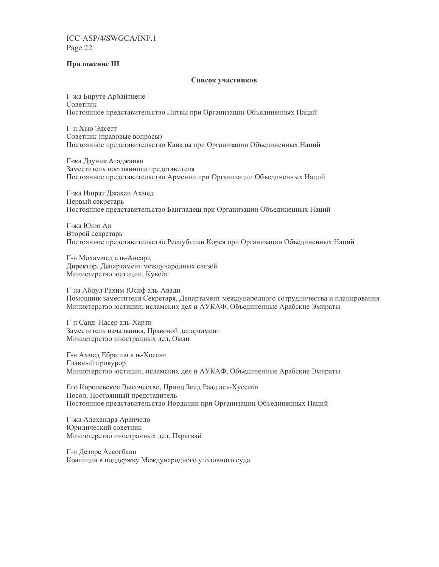### Приложение III

### Список участников

Г-жа Бируте Арбайтиене Советник Постоянное представительство Литвы при Организации Объединенных Наций

Г-н Хью Элсетт Советник (правовые вопросы) Постоянное представительство Канады при Организации Объединенных Наций

Г-жа Дзуник Агаджанян Заместитель постоянного представителя Постоянное представительство Армении при Организации Объединенных Наций

Г-жа Ишрат Джахан Ахмед Первый секретарь Постоянное представительство Бангладеш при Организации Объединенных Наций

Г-жа Юню Ан Второй секретарь Постоянное представительство Республики Корея при Организации Объединенных Наций

Г-н Мохаммад аль-Ансари Директор, Департамент международных связей Министерство юстиции, Кувейт

Г-на Абдул Рахим Юсиф аль-Авади Помощник заместителя Секретаря, Департамент международного сотрудничества и планирования Министерство юстиции, исламских дел и АУКАФ, Объединенные Арабские Эмираты

Г-н Саид Насер аль-Харти Заместитель начальника, Правовой департамент Министерство иностранных дел, Оман

Г-н Ахмед Ебрагим аль-Хосани Главный прокурор Министерство юстиции, исламских дел и АУКАФ, Объединенные Арабские Эмираты

Его Королевское Высочество, Принц Зеид Раад аль-Хуссейн Посол, Постоянный представитель Постоянное представительство Иордании при Организации Объединенных Наций

Г-жа Алехандра Аранчедо Юридический советник Министерство иностранных дел, Парагвай

Г-н Дезире Ассогбави Коалиция в поддержку Международного уголовного суда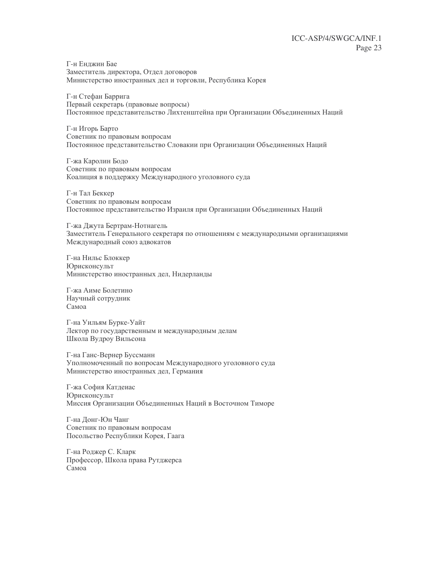Г-н Енджин Бае Заместитель директора, Отдел договоров Министерство иностранных дел и торговли, Республика Корея

Г-н Стефан Баррига Первый секретарь (правовые вопросы) Постоянное представительство Лихтенштейна при Организации Объединенных Наций

Г-н Игорь Барто Советник по правовым вопросам Постоянное представительство Словакии при Организации Объединенных Наций

Г-жа Каролин Бодо Советник по правовым вопросам Коалиция в поддержку Международного уголовного суда

Г-н Тал Беккер Советник по правовым вопросам Постоянное представительство Израиля при Организации Объединенных Наций

Г-жа Джута Бертрам-Нотнагель Заместитель Генерального секретаря по отношениям с международными организациями Международный союз адвокатов

Г-на Нильс Блоккер Юрисконсульт Министерство иностранных дел, Нидерланды

Г-жа Аиме Болетино Научный сотрудник Самоа

Г-на Уильям Бурке-Уайт Лектор по государственным и международным делам Школа Вудроу Вильсона

Г-на Ганс-Вернер Буссманн Уполномоченный по вопросам Международного уголовного суда Министерство иностранных дел, Германия

Г-жа София Катдеиас Юрисконсульт Миссия Организации Объединенных Наций в Восточном Тиморе

Г-на Лонг-Юн Чанг Советник по правовым вопросам Посольство Республики Корея, Гаага

Г-на Роджер С. Кларк Профессор, Школа права Рутджерса Самоа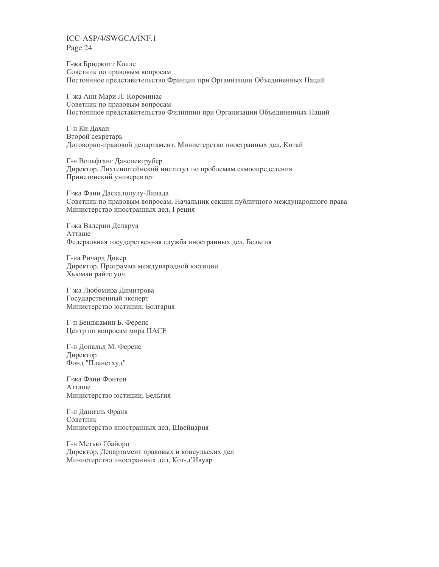Г-жа Бриджитт Колле Советник по правовым вопросам Постоянное представительство Франции при Организации Объединенных Наций

Г-жа Анн Мари Л. Короминас Советник по правовым вопросам Постоянное представительство Филиппин при Организации Объединенных Наций

Г-н Ки Дахаи Второй секретарь Договорно-правовой департамент, Министерство иностранных дел, Китай

Г-н Вольфганг Данспекгрубер Директор, Лихтенштейнский институт по проблемам самоопределения Принстонский университет

Г-жа Фани Даскалопулу-Ливада Советник по правовым вопросам, Начальник секции публичного международного права Министерство иностранных дел, Греция

Г-жа Валерии Делкруа Атташе Федеральная государственная служба иностранных дел, Бельгия

Г-на Ричард Дикер Директор, Программа международной юстиции Хьюман райтс уоч

Г-жа Любомира Димитрова Государственный эксперт Министерство юстиции, Болгария

Г-н Бенджамин Б. Ференс Центр по вопросам мира ПАСЕ

Г-н Дональд М. Ференс Директор Фонд "Планетхуд"

Г-жа Фани Фонтен Атташе Министерство юстиции, Бельгия

Г-н Даниэль Франк Советник Министерство иностранных дел, Швейцария

Г-н Метью Гбайоро Директор, Департамент правовых и консульских дел Министерство иностранных дел, Кот-д'Ивуар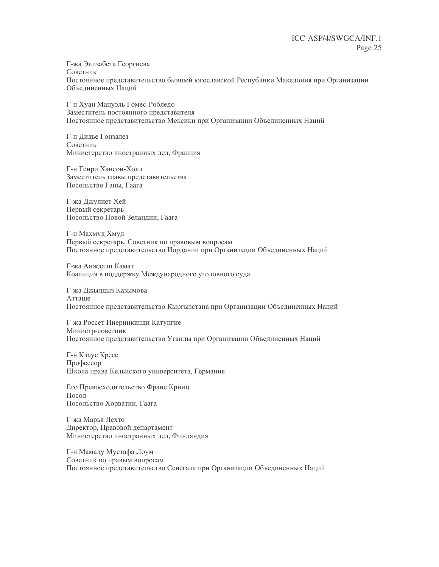Г-жа Элизабета Георгиева Советник Постоянное представительство бывшей югославской Республики Македония при Организации Объединенных Наций

Г-н Хуан Мануэль Гомес-Робледо Заместитель постоянного представителя Постоянное представительство Мексики при Организации Объединенных Наций

Г-н Дидье Гонзалез Советник Министерство иностранных дел, Франция

Г-н Генри Хансон-Холл Заместитель главы представительства Посольство Ганы. Гаага

Г-жа Джулиет Хей Первый секретарь Посольство Новой Зеландии, Гаага

Г-н Махмуд Хмуд Первый секретарь, Советник по правовым вопросам Постоянное представительство Иордании при Организации Объединенных Наций

Г-жа Анждали Камат Коалиция в поддержку Международного уголовного суда

Г-жа Джылдыз Казымова Атташе Постоянное представительство Кыргызстана при Организации Объединенных Наций

Г-жа Россет Ниеринкинди Катунгие Министр-советник Постоянное представительство Уганды при Организации Объединенных Наций

Г-н Клаус Кресс Профессор Школа права Кельнского университета, Германия

Его Превосходительство Фране Крниц  $\Box$ oco $\Box$ Посольство Хорватии, Гаага

Г-жа Марья Лехто Директор, Правовой департамент Министерство иностранных дел, Финляндия

Г-н Мамаду Мустафа Лоум Советник по правым вопросам Постоянное представительство Сенегала при Организации Объединенных Наций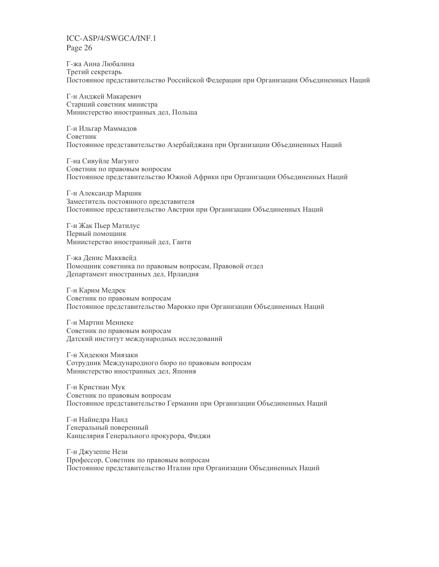Г-жа Анна Любалина Третий секретарь Постоянное представительство Российской Федерации при Организации Объединенных Наций

Г-н Анджей Макаревич Старший советник министра Министерство иностранных дел, Польша

Г-н Ильгар Маммадов Советник Постоянное представительство Азербайджана при Организации Объединенных Наций

Г-на Сивуйле Магунго Советник по правовым вопросам Постоянное представительство Южной Африки при Организации Объединенных Наций

Г-н Александр Маршик Заместитель постоянного представителя Постоянное представительство Австрии при Организации Объединенных Наций

Г-н Жак Пьер Матилус Первый помощник Министерство иностранный дел, Гаити

Г-жа Денис Макквейд Помощник советника по правовым вопросам, Правовой отдел Департамент иностранных дел, Ирландия

Г-н Карим Медрек Советник по правовым вопросам Постоянное представительство Марокко при Организации Объединенных Наций

Г-н Мартин Меннеке Советник по правовым вопросам Датский институт международных исследований

Г-н Хидеюки Миязаки Сотрудник Международного бюро по правовым вопросам Министерство иностранных дел, Япония

Г-н Кристиан Мук Советник по правовым вопросам Постоянное представительство Германии при Организации Объединенных Наций

Г-н Найнедра Нанд Генеральный поверенный Канцелярия Генерального прокурора, Фиджи

Г-н Джузеппе Нези Профессор, Советник по правовым вопросам Постоянное представительство Италии при Организации Объединенных Наций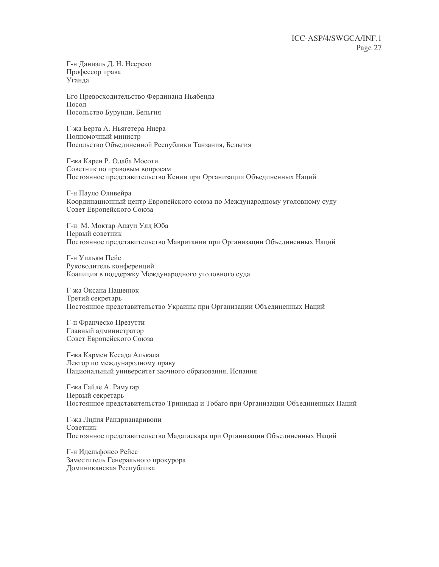Г-н Даниэль Д. Н. Нсереко Профессор права Уганда

Его Превосходительство Фердинанд Ньябенда  $\prod$ <sup>O</sup>CO<sub> $\prod$ </sub> Посольство Бурунди, Бельгия

Г-жа Берта А. Ньягетера Ниера Полномочный министр Посольство Объединенной Республики Танзания, Бельгия

Г-жа Карен Р. Одаба Мосоти Советник по правовым вопросам Постоянное представительство Кении при Организации Объединенных Наций

Г-н Пауло Оливейра Координационный центр Европейского союза по Международному уголовному суду Совет Европейского Союза

Г-н М. Моктар Алауи Улд Юба Первый советник Постоянное представительство Мавритании при Организации Объединенных Наций

Г-н Уильям Пейс Руководитель конференций Коалиция в поддержку Международного уголовного суда

Г-жа Оксана Пашенюк Третий секретарь Постоянное представительство Украины при Организации Объединенных Наций

Г-н Франческо Презутти Главный администратор Совет Европейского Союза

Г-жа Кармен Кесада Алькала Лектор по международному праву Национальный университет заочного образования, Испания

Г-жа Гайле А. Рамутар Первый секретарь Постоянное представительство Тринидад и Тобаго при Организации Объединенных Наций

Г-жа Лидия Рандрианаривони Советник Постоянное представительство Мадагаскара при Организации Объединенных Наций

Г-н Идельфонсо Рейес Заместитель Генерального прокурора Доминиканская Республика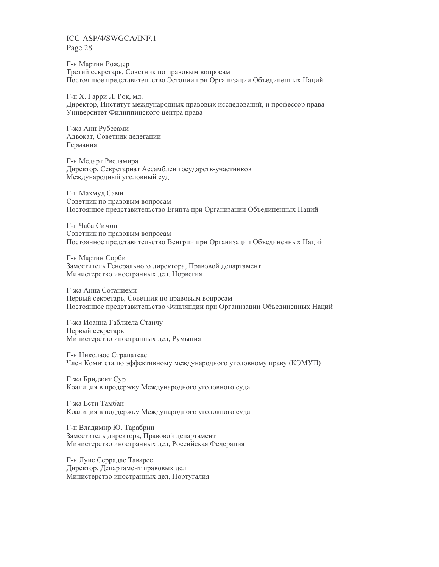Г-н Мартин Рождер Третий секретарь, Советник по правовым вопросам Постоянное представительство Эстонии при Организации Объединенных Наций

Г-н Х. Гарри Л. Рок, мл. Директор, Институт международных правовых исследований, и профессор права Университет Филиппинского центра права

Г-жа Анн Рубесами Адвокат, Советник делегации Германия

Г-н Медарт Рвеламира Директор, Секретариат Ассамблеи государств-участников Международный уголовный суд

Г-н Махмуд Сами Советник по правовым вопросам Постоянное представительство Египта при Организации Объединенных Наций

Г-н Чаба Симон Советник по правовым вопросам Постоянное представительство Венгрии при Организации Объединенных Наций

Г-н Мартин Сорби Заместитель Генерального директора, Правовой департамент Министерство иностранных дел, Норвегия

Г-жа Анна Сотаниеми Первый секретарь, Советник по правовым вопросам Постоянное представительство Финляндии при Организации Объединенных Наций

Г-жа Иоанна Габлиела Станчу Первый секретарь Министерство иностранных дел, Румыния

Г-н Николаос Страпатсас Член Комитета по эффективному международного уголовному праву (КЭМУП)

Г-жа Бриджит Сур Коалиция в продержку Международного уголовного суда

Г-жа Ести Тамбаи Коалиция в поддержку Международного уголовного суда

Г-н Владимир Ю. Тарабрин Заместитель директора, Правовой департамент Министерство иностранных дел, Российская Федерация

Г-н Луис Серрадас Таварес Директор, Департамент правовых дел Министерство иностранных дел, Португалия